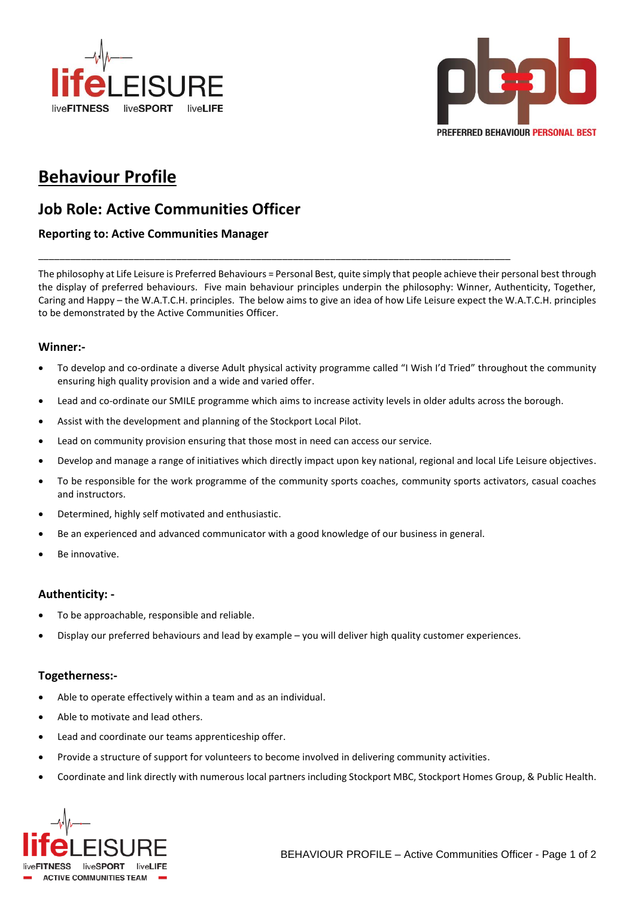



# **Behaviour Profile**

## **Job Role: Active Communities Officer**

### **Reporting to: Active Communities Manager**

The philosophy at Life Leisure is Preferred Behaviours = Personal Best, quite simply that people achieve their personal best through the display of preferred behaviours. Five main behaviour principles underpin the philosophy: Winner, Authenticity, Together, Caring and Happy – the W.A.T.C.H. principles. The below aims to give an idea of how Life Leisure expect the W.A.T.C.H. principles to be demonstrated by the Active Communities Officer.

\_\_\_\_\_\_\_\_\_\_\_\_\_\_\_\_\_\_\_\_\_\_\_\_\_\_\_\_\_\_\_\_\_\_\_\_\_\_\_\_\_\_\_\_\_\_\_\_\_\_\_\_\_\_\_\_\_\_\_\_\_\_\_\_\_\_\_\_\_\_\_\_\_\_\_\_\_\_\_\_\_\_\_\_\_\_\_\_\_

#### **Winner:-**

- To develop and co-ordinate a diverse Adult physical activity programme called "I Wish I'd Tried" throughout the community ensuring high quality provision and a wide and varied offer.
- Lead and co-ordinate our SMILE programme which aims to increase activity levels in older adults across the borough.
- Assist with the development and planning of the Stockport Local Pilot.
- Lead on community provision ensuring that those most in need can access our service.
- Develop and manage a range of initiatives which directly impact upon key national, regional and local Life Leisure objectives.
- To be responsible for the work programme of the community sports coaches, community sports activators, casual coaches and instructors.
- Determined, highly self motivated and enthusiastic.
- Be an experienced and advanced communicator with a good knowledge of our business in general.
- Be innovative.

#### **Authenticity: -**

- To be approachable, responsible and reliable.
- Display our preferred behaviours and lead by example you will deliver high quality customer experiences.

#### **Togetherness:-**

- Able to operate effectively within a team and as an individual.
- Able to motivate and lead others.
- Lead and coordinate our teams apprenticeship offer.
- Provide a structure of support for volunteers to become involved in delivering community activities.
- Coordinate and link directly with numerous local partners including Stockport MBC, Stockport Homes Group, & Public Health.